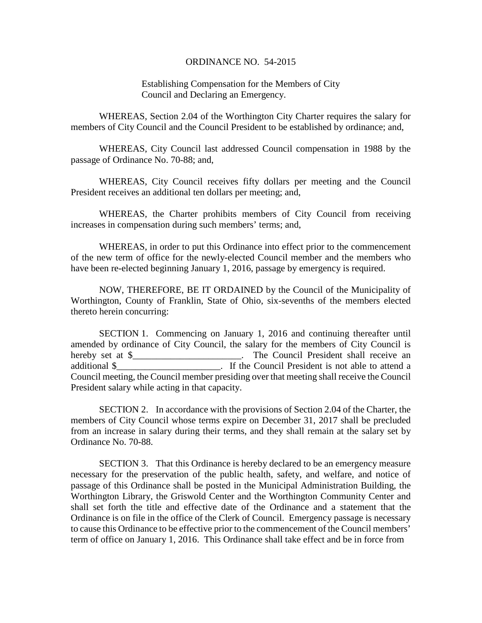## ORDINANCE NO. 54-2015

Establishing Compensation for the Members of City Council and Declaring an Emergency.

WHEREAS, Section 2.04 of the Worthington City Charter requires the salary for members of City Council and the Council President to be established by ordinance; and,

WHEREAS, City Council last addressed Council compensation in 1988 by the passage of Ordinance No. 70-88; and,

WHEREAS, City Council receives fifty dollars per meeting and the Council President receives an additional ten dollars per meeting; and,

WHEREAS, the Charter prohibits members of City Council from receiving increases in compensation during such members' terms; and,

WHEREAS, in order to put this Ordinance into effect prior to the commencement of the new term of office for the newly-elected Council member and the members who have been re-elected beginning January 1, 2016, passage by emergency is required.

NOW, THEREFORE, BE IT ORDAINED by the Council of the Municipality of Worthington, County of Franklin, State of Ohio, six-sevenths of the members elected thereto herein concurring:

SECTION 1. Commencing on January 1, 2016 and continuing thereafter until amended by ordinance of City Council, the salary for the members of City Council is hereby set at \$ The Council President shall receive an additional \$ Council meeting, the Council member presiding over that meeting shall receive the Council President salary while acting in that capacity.

SECTION 2. In accordance with the provisions of Section 2.04 of the Charter, the members of City Council whose terms expire on December 31, 2017 shall be precluded from an increase in salary during their terms, and they shall remain at the salary set by Ordinance No. 70-88.

SECTION 3. That this Ordinance is hereby declared to be an emergency measure necessary for the preservation of the public health, safety, and welfare, and notice of passage of this Ordinance shall be posted in the Municipal Administration Building, the Worthington Library, the Griswold Center and the Worthington Community Center and shall set forth the title and effective date of the Ordinance and a statement that the Ordinance is on file in the office of the Clerk of Council. Emergency passage is necessary to cause this Ordinance to be effective prior to the commencement of the Council members' term of office on January 1, 2016. This Ordinance shall take effect and be in force from